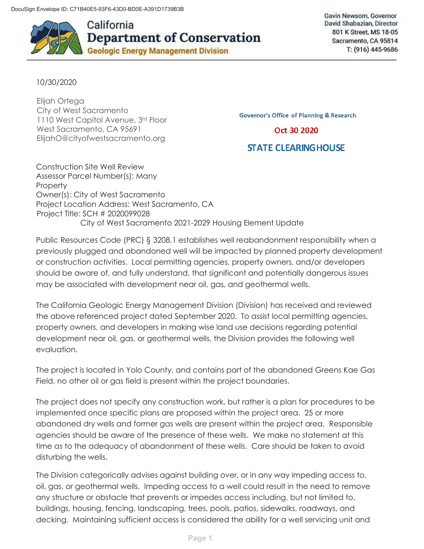

California **Department of Conservation Geologic Energy Management Division** 

Gavin Newsom, Governor David Shabazian, Director 801 K Street, MS 18-05 Sacramento, CA 95814 T: (916) 445-9686

10/30/2020

Elijah Ortega City of West Sacramento 1110 West Capitol Avenue, 3rd Floor West Sacramento, CA 95691 ElijahO@cityofwestsacramento.org

**Governor's Office of Planning & Research** 

Oct 30 2020

## **STATE CLEARING HOUSE**

Construction Site Well Review Assessor Parcel Number(s): Many **Property** Owner(s): City of West Sacramento Project Location Address: West Sacramento, CA Project Title: SCH # 2020099028 City of West Sacramento 2021-2029 Housing Element Update

Public Resources Code (PRC) § 3208.1 establishes well reabandonment responsibility when a previously plugged and abandoned well will be impacted by planned property development or construction activities. Local permitting agencies, property owners, and/or developers should be aware of, and fully understand, that significant and potentially dangerous issues may be associated with development near oil, gas, and geothermal wells.

The California Geologic Energy Management Division (Division) has received and reviewed the above referenced project dated September 2020. To assist local permitting agencies, property owners, and developers in making wise land use decisions regarding potential development near oil, gas, or geothermal wells, the Division provides the following well evaluation.

The project is located in Yolo County, and contains part of the abandoned Greens Kae Gas Field, no other oil or gas field is present within the project boundaries.

The project does not specify any construction work, but rather is a plan for procedures to be implemented once specific plans are proposed within the project area. 25 or more abandoned dry wells and former gas wells are present within the project area. Responsible agencies should be aware of the presence of these wells. We make no statement at this time as to the adequacy of abandonment of these wells. Care should be taken to avoid disturbing the wells.

The Division categorically advises against building over, or in any way impeding access to, oil, gas, or geothermal wells. Impeding access to a well could result in the need to remove any structure or obstacle that prevents or impedes access including, but not limited to, buildings, housing, fencing, landscaping, trees, pools, patios, sidewalks, roadways, and decking. Maintaining sufficient access is considered the ability for a well servicing unit and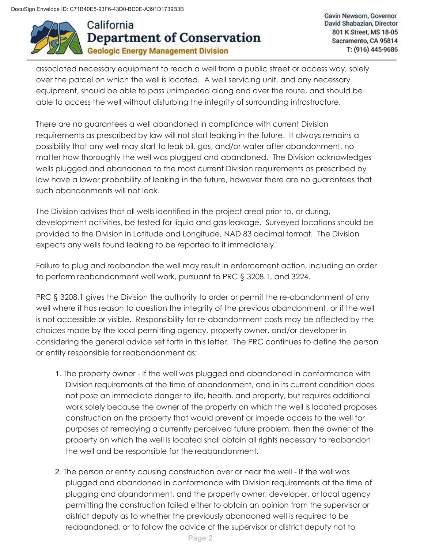

Gavin Newsom, Governor David Shabazian, Director 801 K Street, MS 18-05 Sacramento, CA 95814 T: (916) 445-9686

associated necessary equipment to reach a well from a public street or access way, solely over the parcel on which the well is located. A well servicing unit, and any necessary equipment, should be able to pass unimpeded along and over the route, and should be able to access the well without disturbing the integrity of surrounding infrastructure.

There are no guarantees a well abandoned in compliance with current Division requirements as prescribed by law will not start leaking in the future. It always remains a possibility that any well may start to leak oil, gas, and/or water after abandonment, no matter how thoroughly the well was plugged and abandoned. The Division acknowledges wells plugged and abandoned to the most current Division requirements as prescribed by law have a lower probability of leaking in the future, however there are no guarantees that such abandonments will not leak.

The Division advises that all wells identified in the project areal prior to, or during, development activities, be tested for liquid and gas leakage. Surveyed locations should be provided to the Division in Latitude and Longitude, NAD 83 decimal format. The Division expects any wells found leaking to be reported to it immediately.

Failure to plug and reabandon the well may result in enforcement action, including an order to perform reabandonment well work, pursuant to PRC § 3208.1, and 3224.

PRC § 3208.1 gives the Division the authority to order or permit the re-abandonment of any well where it has reason to question the integrity of the previous abandonment, or if the well is not accessible or visible. Responsibility for re-abandonment costs may be affected by the choices made by the local permitting agency, property owner, and/or developer in considering the general advice set forth in this letter. The PRC continues to define the person or entity responsible for reabandonment as:

- 1. The property owner If the well was plugged and abandoned in conformance with Division requirements at the time of abandonment, and in its current condition does not pose an immediate danger to life, health, and property, but requires additional work solely because the owner of the property on which the well is located proposes construction on the property that would prevent or impede access to the well for purposes of remedying a currently perceived future problem, then the owner of the property on which the well is located shall obtain all rights necessary to reabandon the well and be responsible for the reabandonment.
- 2. The person or entity causing construction over or near the well If the well was plugged and abandoned in conformance with Division requirements at the time of plugging and abandonment, and the property owner, developer, or local agency permitting the construction failed either to obtain an opinion from the supervisor or district deputy as to whether the previously abandoned well is required to be reabandoned, or to follow the advice of the supervisor or district deputy not to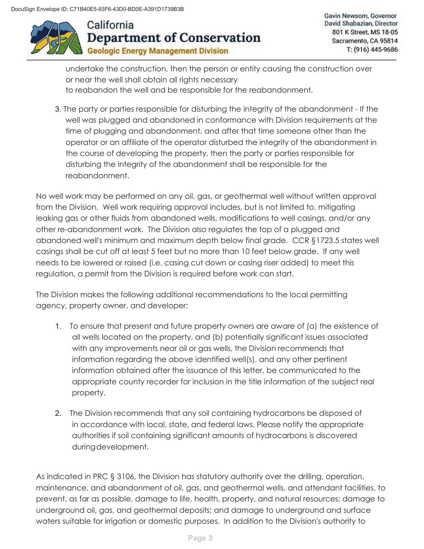

Gavin Newsom, Governor David Shabazian, Director 801 K Street, MS 18-05 Sacramento, CA 95814 T: (916) 445-9686

undertake the construction, then the person or entity causing the construction over or near the well shall obtain all rights necessary to reabandon the well and be responsible for the reabandonment.

3. The party or parties responsible for disturbing the integrity of the abandonment - If the well was plugged and abandoned in conformance with Division requirements at the time of plugging and abandonment, and after that time someone other than the operator or an affiliate of the operator disturbed the integrity of the abandonment in the course of developing the property, then the party or parties responsible for disturbing the integrity of the abandonment shall be responsible for the reabandonment.

No well work may be performed on any oil, gas, or geothermal well without written approval from the Division. Well work requiring approval includes, but is not limited to, mitigating leaking gas or other fluids from abandoned wells, modifications to well casings, and/or any other re-abandonment work. The Division also regulates the top of a plugged and abandoned well's minimum and maximum depth below final grade. CCR §1723.5 states well casings shall be cut off at least 5 feet but no more than 10 feet below grade. If any well needs to be lowered or raised (i.e. casing cut down or casing riser added) to meet this regulation, a permit from the Division is required before work can start.

The Division makes the following additional recommendations to the local permitting agency, property owner, and developer:

- 1. To ensure that present and future property owners are aware of (a) the existence of all wells located on the property, and (b) potentially significant issues associated with any improvements near oil or gas wells, the Division recommends that information regarding the above identified well(s), and any other pertinent information obtained after the issuance of this letter, be communicated to the appropriate county recorder for inclusion in the title information of the subject real property.
- 2. The Division recommends that any soil containing hydrocarbons be disposed of in accordance with local, state, and federal laws. Please notify the appropriate authorities if soil containing significant amounts of hydrocarbons is discovered during development.

As indicated in PRC § 3106, the Division has statutory authority over the drilling, operation, maintenance, and abandonment of oil, gas, and geothermal wells, and attendant facilities, to prevent, as far as possible, damage to life, health, property, and natural resources; damage to underground oil, gas, and geothermal deposits; and damage to underground and surface waters suitable for irrigation or domestic purposes. In addition to the Division's authority to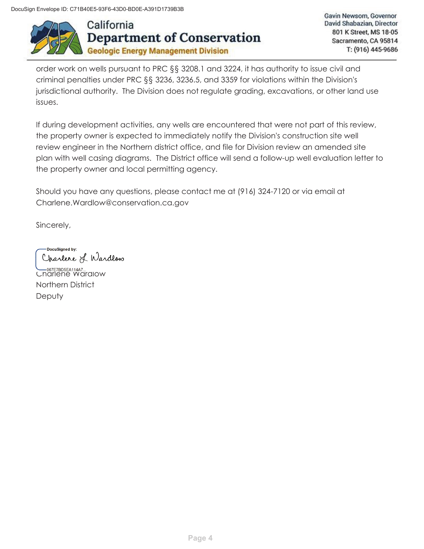DocuSign Envelope ID: C71B40E5-93F6-43D0-BD0E-A391D1739B3B



Gavin Newsom, Governor David Shabazian, Director 801 K Street, MS 18-05 Sacramento, CA 95814 T: (916) 445-9686

order work on wells pursuant to PRC §§ 3208.1 and 3224, it has authority to issue civil and criminal penalties under PRC §§ 3236, 3236.5, and 3359 for violations within the Division's jurisdictional authority. The Division does not regulate grading, excavations, or other land use issues.

If during development activities, any wells are encountered that were not part of this review, the property owner is expected to immediately notify the Division's construction site well review engineer in the Northern district office, and file for Division review an amended site plan with well casing diagrams. The District office will send a follow-up well evaluation letter to the property owner and local permitting agency.

Should you have any questions, please contact me at (916) 324-7120 or via email at Charlene.Wardlow@conservation.ca.gov

Sincerely,

DocuSianed by: Charlene L Wardlow

**Charlene Wardlow** Northern District **Deputy**